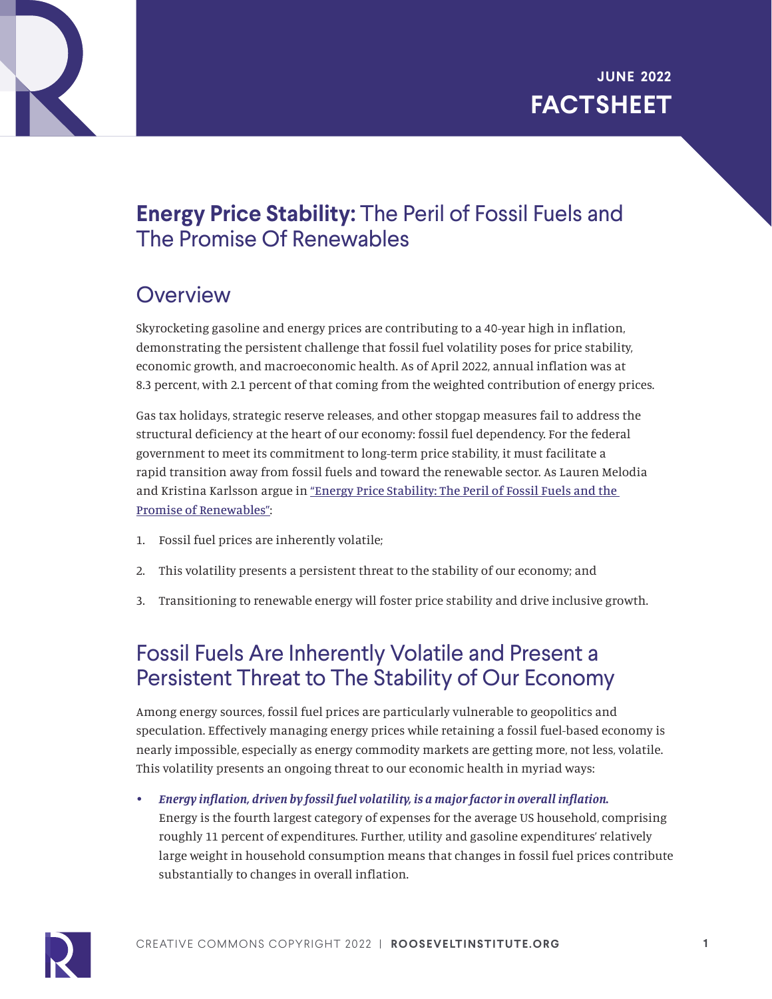

## **Energy Price Stability:** The Peril of Fossil Fuels and The Promise Of Renewables

# **Overview**

Skyrocketing gasoline and energy prices are contributing to a 40-year high in inflation, demonstrating the persistent challenge that fossil fuel volatility poses for price stability, economic growth, and macroeconomic health. As of April 2022, annual inflation was at 8.3 percent, with 2.1 percent of that coming from the weighted contribution of energy prices.

Gas tax holidays, strategic reserve releases, and other stopgap measures fail to address the structural deficiency at the heart of our economy: fossil fuel dependency. For the federal government to meet its commitment to long-term price stability, it must facilitate a rapid transition away from fossil fuels and toward the renewable sector. As Lauren Melodia and Kristina Karlsson argue in ["Energy Price Stability: The Peril of Fossil Fuels and the](https://rooseveltinstitute.org/publications/energy-price-stability/)  [Promise of Renewables"](https://rooseveltinstitute.org/publications/energy-price-stability/):

- 1. Fossil fuel prices are inherently volatile;
- 2. This volatility presents a persistent threat to the stability of our economy; and
- 3. Transitioning to renewable energy will foster price stability and drive inclusive growth.

## Fossil Fuels Are Inherently Volatile and Present a Persistent Threat to The Stability of Our Economy

Among energy sources, fossil fuel prices are particularly vulnerable to geopolitics and speculation. Effectively managing energy prices while retaining a fossil fuel-based economy is nearly impossible, especially as energy commodity markets are getting more, not less, volatile. This volatility presents an ongoing threat to our economic health in myriad ways:

*• Energy inflation, driven by fossil fuel volatility, is a major factor in overall inflation.* Energy is the fourth largest category of expenses for the average US household, comprising roughly 11 percent of expenditures. Further, utility and gasoline expenditures' relatively large weight in household consumption means that changes in fossil fuel prices contribute substantially to changes in overall inflation.

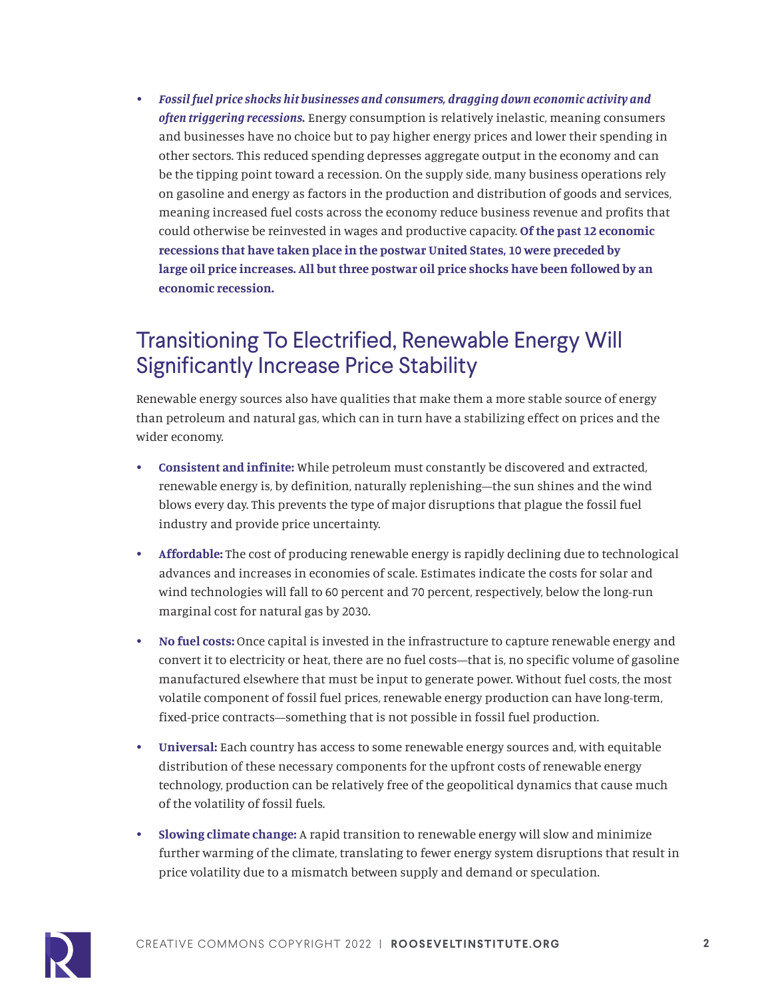*• Fossil fuel price shocks hit businesses and consumers, dragging down economic activity and often triggering recessions.* Energy consumption is relatively inelastic, meaning consumers and businesses have no choice but to pay higher energy prices and lower their spending in other sectors. This reduced spending depresses aggregate output in the economy and can be the tipping point toward a recession. On the supply side, many business operations rely on gasoline and energy as factors in the production and distribution of goods and services, meaning increased fuel costs across the economy reduce business revenue and profits that could otherwise be reinvested in wages and productive capacity. **Of the past 12 economic recessions that have taken place in the postwar United States, 10 were preceded by large oil price increases. All but three postwar oil price shocks have been followed by an economic recession.**

#### Transitioning To Electrified, Renewable Energy Will Significantly Increase Price Stability

Renewable energy sources also have qualities that make them a more stable source of energy than petroleum and natural gas, which can in turn have a stabilizing effect on prices and the wider economy.

- **• Consistent and infinite:** While petroleum must constantly be discovered and extracted, renewable energy is, by definition, naturally replenishing—the sun shines and the wind blows every day. This prevents the type of major disruptions that plague the fossil fuel industry and provide price uncertainty.
- **• Affordable:** The cost of producing renewable energy is rapidly declining due to technological advances and increases in economies of scale. Estimates indicate the costs for solar and wind technologies will fall to 60 percent and 70 percent, respectively, below the long-run marginal cost for natural gas by 2030.
- **• No fuel costs:** Once capital is invested in the infrastructure to capture renewable energy and convert it to electricity or heat, there are no fuel costs—that is, no specific volume of gasoline manufactured elsewhere that must be input to generate power. Without fuel costs, the most volatile component of fossil fuel prices, renewable energy production can have long-term, fixed-price contracts—something that is not possible in fossil fuel production.
- **• Universal:** Each country has access to some renewable energy sources and, with equitable distribution of these necessary components for the upfront costs of renewable energy technology, production can be relatively free of the geopolitical dynamics that cause much of the volatility of fossil fuels.
- **• Slowing climate change:** A rapid transition to renewable energy will slow and minimize further warming of the climate, translating to fewer energy system disruptions that result in price volatility due to a mismatch between supply and demand or speculation.